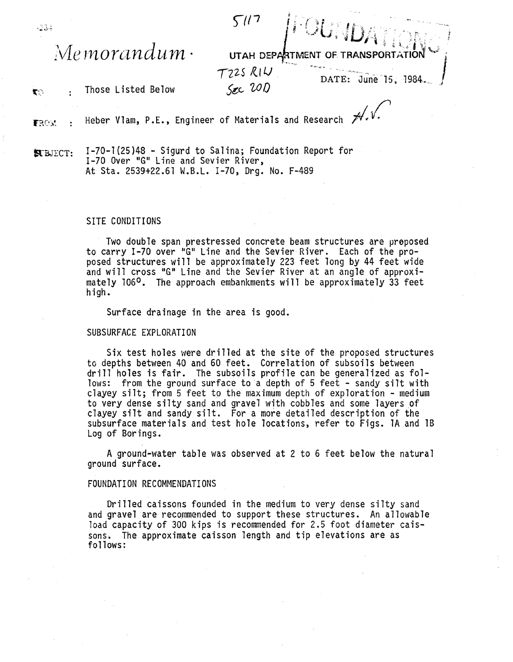$51/7$  $M$ emorandum· UTAH DEPARTMENT T225 RIW DATE: June 15, 1984  $S_{AC}$  20 $D$ 

 $\mathbf{x}$  : Those Listed Below

 $-134$ 

Heber Vlam, P.E., Engineer of Materials and Research  $\not\!\!\!\!\!\mathscr{M}\mathscr{N}\mathscr{N}\mathscr{N}\mathscr{N}\mathscr{N}\mathscr{N}\mathscr{N}$ FROM

kBJECT: 1-70-1(25)48 - Sigurd to Salina; Foundation Report for 1-70 Over "G" Line and Sevier River, At Sta. 2539+22.61 W.B.L. 1-70, Drg. No. F-489

## SITE CONDITIONS

Two double span prestressed concrete beam structures are proposed<br>to carry I-70 over "G" Line and the Sevier River. Each of the proposed structures will be approximately 223 feet long by 44 feet wide<br>and will cross "G" Line and the Sevier River at an angle of approximately 106<sup>0</sup>. The approach embankments will be approximately 33 feet high.

Surface drainage in the area is good.

## SUBSURFACE EXPLORATION

Six test holes were drilled at the site of the proposed structures to depths between 40 and 60 feet. Correlation of subsoils between drill holes is fair. The subsoils profile can be generalized as follows: from the ground surface to a depth of 5 feet - sandy silt with clayey silt; from 5 feet to the maximum depth of exploration - medium to very dense silty sand and gravel with cobbles and some layers of clayey silt and sandy silt. For a more detailed description of the subsurface materials and test hole locations, refer to Figs. lA and 18 Log of Borings.

A ground-water table was observed at 2 to 6 feet below the natural ground surface.

## FOUNDATION RECOMMENDATIONS

Drilled caissons founded in the medium to very dense silty sand and gravel are recommended to support these structures. An allowable load capacity of 300 kips is recommended for 2.5 foot diameter caissons. The approximate caisson length and tip elevations are as follows: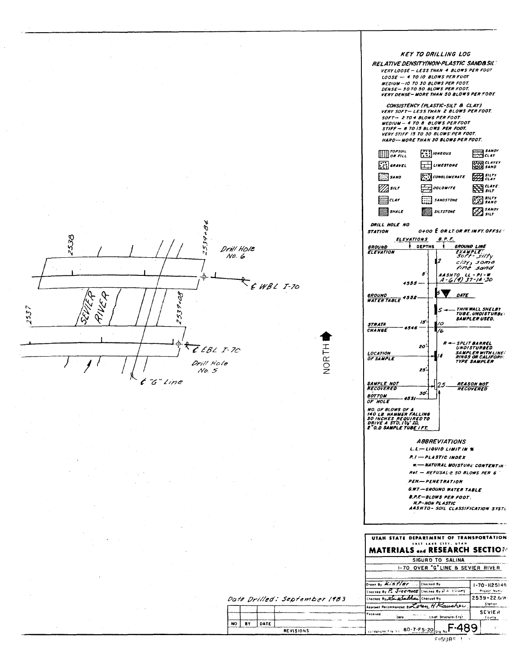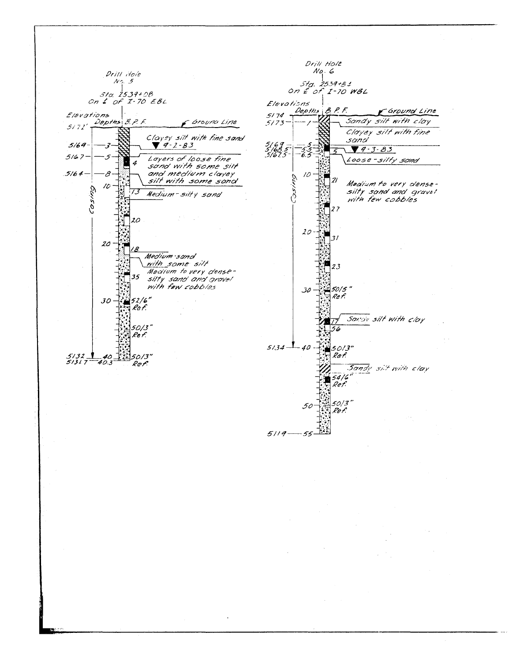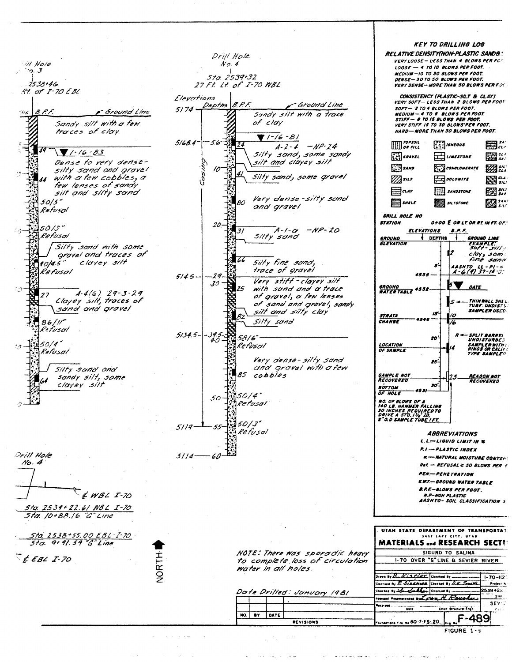